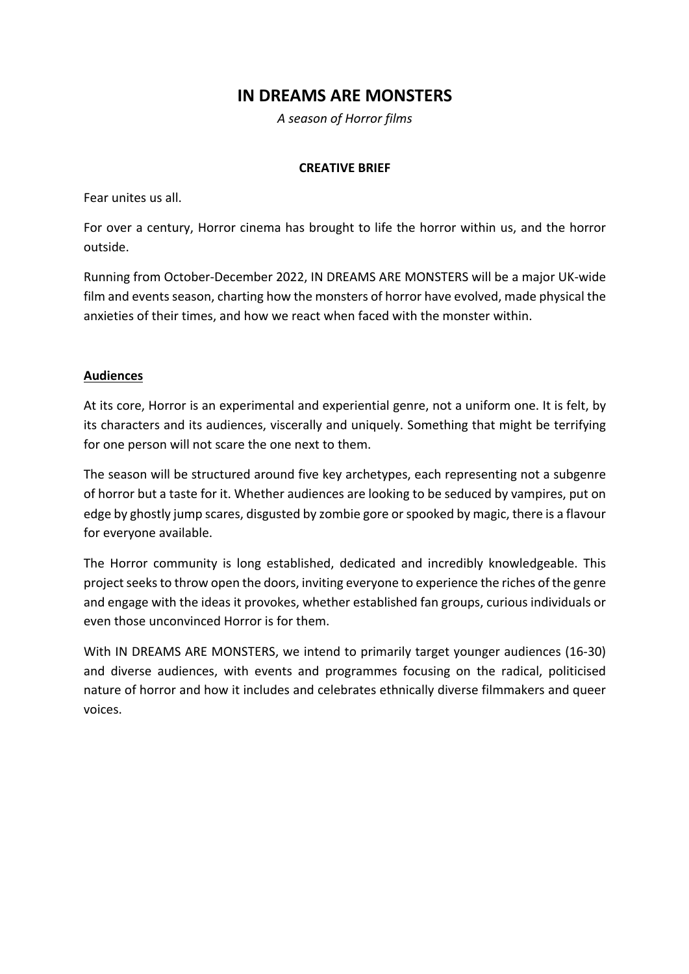# **IN DREAMS ARE MONSTERS**

*A season of Horror films*

### **CREATIVE BRIEF**

Fear unites us all.

For over a century, Horror cinema has brought to life the horror within us, and the horror outside.

Running from October-December 2022, IN DREAMS ARE MONSTERS will be a major UK-wide film and events season, charting how the monsters of horror have evolved, made physical the anxieties of their times, and how we react when faced with the monster within.

## **Audiences**

At its core, Horror is an experimental and experiential genre, not a uniform one. It is felt, by its characters and its audiences, viscerally and uniquely. Something that might be terrifying for one person will not scare the one next to them.

The season will be structured around five key archetypes, each representing not a subgenre of horror but a taste for it. Whether audiences are looking to be seduced by vampires, put on edge by ghostly jump scares, disgusted by zombie gore or spooked by magic, there is a flavour for everyone available.

The Horror community is long established, dedicated and incredibly knowledgeable. This project seeks to throw open the doors, inviting everyone to experience the riches of the genre and engage with the ideas it provokes, whether established fan groups, curious individuals or even those unconvinced Horror is for them.

With IN DREAMS ARE MONSTERS, we intend to primarily target younger audiences (16-30) and diverse audiences, with events and programmes focusing on the radical, politicised nature of horror and how it includes and celebrates ethnically diverse filmmakers and queer voices.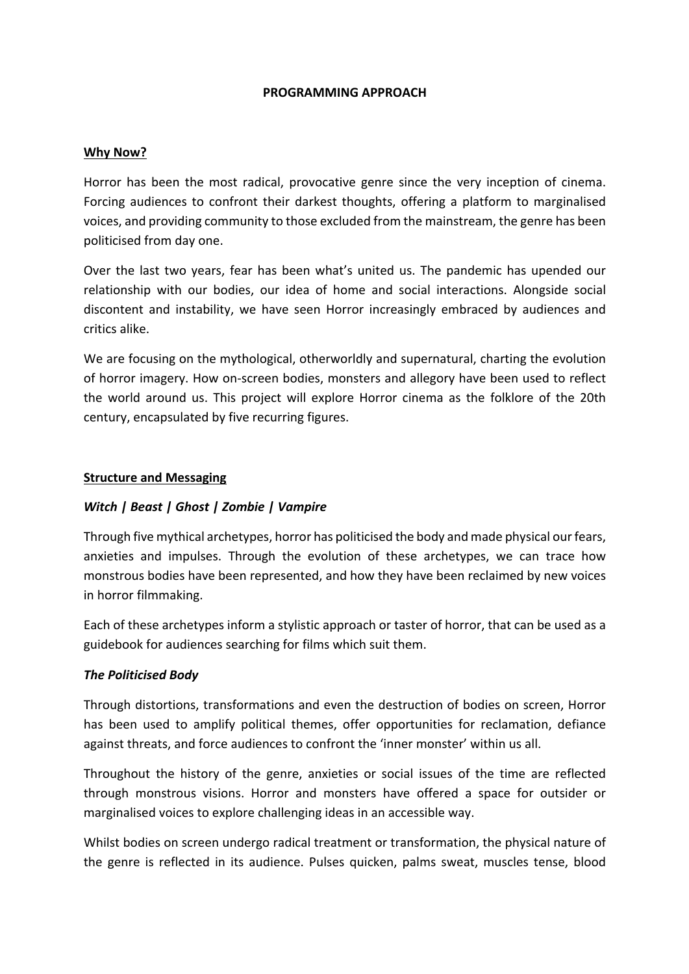#### **PROGRAMMING APPROACH**

#### **Why Now?**

Horror has been the most radical, provocative genre since the very inception of cinema. Forcing audiences to confront their darkest thoughts, offering a platform to marginalised voices, and providing community to those excluded from the mainstream, the genre has been politicised from day one.

Over the last two years, fear has been what's united us. The pandemic has upended our relationship with our bodies, our idea of home and social interactions. Alongside social discontent and instability, we have seen Horror increasingly embraced by audiences and critics alike.

We are focusing on the mythological, otherworldly and supernatural, charting the evolution of horror imagery. How on-screen bodies, monsters and allegory have been used to reflect the world around us. This project will explore Horror cinema as the folklore of the 20th century, encapsulated by five recurring figures.

#### **Structure and Messaging**

#### *Witch | Beast | Ghost | Zombie | Vampire*

Through five mythical archetypes, horror has politicised the body and made physical our fears, anxieties and impulses. Through the evolution of these archetypes, we can trace how monstrous bodies have been represented, and how they have been reclaimed by new voices in horror filmmaking.

Each of these archetypes inform a stylistic approach or taster of horror, that can be used as a guidebook for audiences searching for films which suit them.

#### *The Politicised Body*

Through distortions, transformations and even the destruction of bodies on screen, Horror has been used to amplify political themes, offer opportunities for reclamation, defiance against threats, and force audiences to confront the 'inner monster' within us all.

Throughout the history of the genre, anxieties or social issues of the time are reflected through monstrous visions. Horror and monsters have offered a space for outsider or marginalised voices to explore challenging ideas in an accessible way.

Whilst bodies on screen undergo radical treatment or transformation, the physical nature of the genre is reflected in its audience. Pulses quicken, palms sweat, muscles tense, blood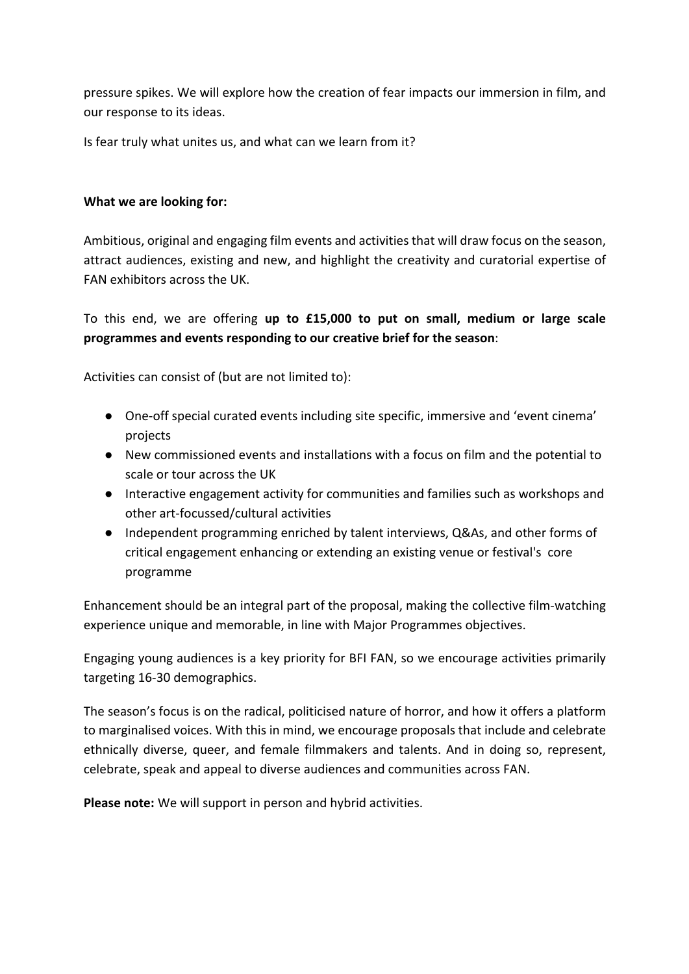pressure spikes. We will explore how the creation of fear impacts our immersion in film, and our response to its ideas.

Is fear truly what unites us, and what can we learn from it?

## **What we are looking for:**

Ambitious, original and engaging film events and activities that will draw focus on the season, attract audiences, existing and new, and highlight the creativity and curatorial expertise of FAN exhibitors across the UK.

To this end, we are offering **up to £15,000 to put on small, medium or large scale programmes and events responding to our creative brief for the season**:

Activities can consist of (but are not limited to):

- One-off special curated events including site specific, immersive and 'event cinema' projects
- New commissioned events and installations with a focus on film and the potential to scale or tour across the UK
- Interactive engagement activity for communities and families such as workshops and other art-focussed/cultural activities
- Independent programming enriched by talent interviews, Q&As, and other forms of critical engagement enhancing or extending an existing venue or festival's core programme

Enhancement should be an integral part of the proposal, making the collective film-watching experience unique and memorable, in line with Major Programmes objectives.

Engaging young audiences is a key priority for BFI FAN, so we encourage activities primarily targeting 16-30 demographics.

The season's focus is on the radical, politicised nature of horror, and how it offers a platform to marginalised voices. With this in mind, we encourage proposals that include and celebrate ethnically diverse, queer, and female filmmakers and talents. And in doing so, represent, celebrate, speak and appeal to diverse audiences and communities across FAN.

**Please note:** We will support in person and hybrid activities.